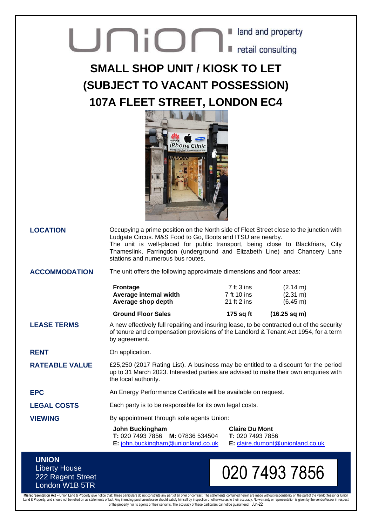## **Union** Land and property

## **SMALL SHOP UNIT / KIOSK TO LET (SUBJECT TO VACANT POSSESSION) 107A FLEET STREET, LONDON EC4**



**LOCATION** Occupying a prime position on the North side of Fleet Street close to the junction with Ludgate Circus. M&S Food to Go, Boots and ITSU are nearby. The unit is well-placed for public transport, being close to Blackfriars, City Thameslink, Farringdon (underground and Elizabeth Line) and Chancery Lane stations and numerous bus routes.

**ACCOMMODATION** The unit offers the following approximate dimensions and floor areas:

| <b>Ground Floor Sales</b>                    | 175 sq ft                  | $(16.25 \text{ sq m})$                   |
|----------------------------------------------|----------------------------|------------------------------------------|
| Average internal width<br>Average shop depth | 7 ft 10 ins<br>21 ft 2 ins | $(2.31 \text{ m})$<br>$(6.45 \text{ m})$ |
|                                              |                            |                                          |
|                                              |                            |                                          |

**LEASE TERMS** A new effectively full repairing and insuring lease, to be contracted out of the security of tenure and compensation provisions of the Landlord & Tenant Act 1954, for a term by agreement.

**RENT** On application.

**RATEABLE VALUE** £25,250 (2017 Rating List). A business may be entitled to a discount for the period up to 31 March 2023. Interested parties are advised to make their own enquiries with the local authority.

**EPC** An Energy Performance Certificate will be available on request.

LEGAL COSTS Each party is to be responsible for its own legal costs.

**VIEWING** By appointment through sole agents Union:

**John Buckingham T:** 020 7493 7856 **M:** 07836 534504 **E:** [john.buckingham@unionland.co.uk](mailto:john.buckingham@unionland.co.uk) **Claire Du Mont T:** 020 7493 7856 **E:** [claire.dumont@unionland.co.uk](mailto:claire.dumont@unionland.co.uk)

## **UNION** Liberty House 222 Regent Street London W1B 5TR

## 020 7493 7856

Misrepresentation Act – Union Land & Property give notice that: These particulars do not constitute any part of an offer or contract. The statements contained herein are made without responsibility on the part of the vendo of the property nor its agents or their servants. The accuracy of these particulars cannot be guaranteed. Jun-22